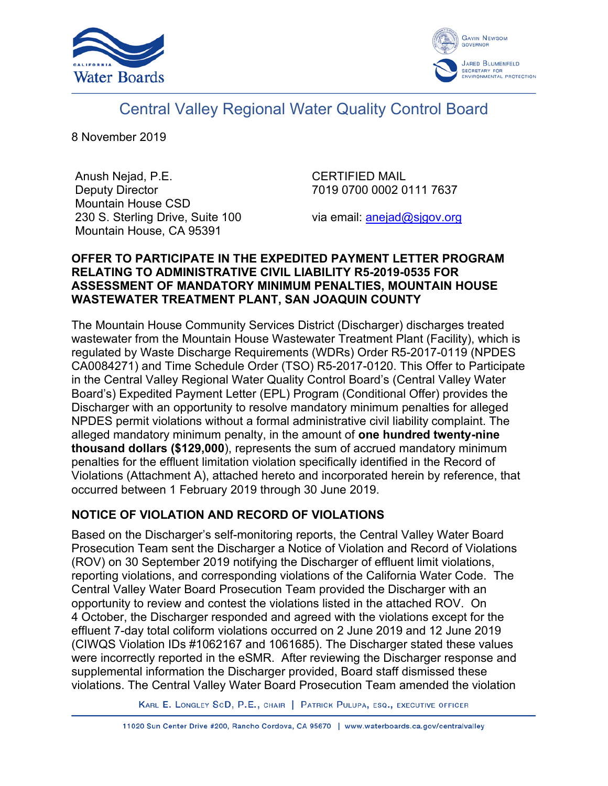



# Central Valley Regional Water Quality Control Board

8 November 2019

Anush Nejad, P.E. Deputy Director Mountain House CSD 230 S. Sterling Drive, Suite 100 Mountain House, CA 95391

CERTIFIED MAIL 7019 0700 0002 0111 7637

via email: [anejad@sjgov.org](mailto:anejad@sjgov.org)

### **OFFER TO PARTICIPATE IN THE EXPEDITED PAYMENT LETTER PROGRAM RELATING TO ADMINISTRATIVE CIVIL LIABILITY R5-2019-0535 FOR ASSESSMENT OF MANDATORY MINIMUM PENALTIES, MOUNTAIN HOUSE WASTEWATER TREATMENT PLANT, SAN JOAQUIN COUNTY**

The Mountain House Community Services District (Discharger) discharges treated wastewater from the Mountain House Wastewater Treatment Plant (Facility), which is regulated by Waste Discharge Requirements (WDRs) Order R5-2017-0119 (NPDES CA0084271) and Time Schedule Order (TSO) R5-2017-0120. This Offer to Participate in the Central Valley Regional Water Quality Control Board's (Central Valley Water Board's) Expedited Payment Letter (EPL) Program (Conditional Offer) provides the Discharger with an opportunity to resolve mandatory minimum penalties for alleged NPDES permit violations without a formal administrative civil liability complaint. The alleged mandatory minimum penalty, in the amount of **one hundred twenty-nine thousand dollars (\$129,000**), represents the sum of accrued mandatory minimum penalties for the effluent limitation violation specifically identified in the Record of Violations (Attachment A), attached hereto and incorporated herein by reference, that occurred between 1 February 2019 through 30 June 2019.

# **NOTICE OF VIOLATION AND RECORD OF VIOLATIONS**

Based on the Discharger's self-monitoring reports, the Central Valley Water Board Prosecution Team sent the Discharger a Notice of Violation and Record of Violations (ROV) on 30 September 2019 notifying the Discharger of effluent limit violations, reporting violations, and corresponding violations of the California Water Code. The Central Valley Water Board Prosecution Team provided the Discharger with an opportunity to review and contest the violations listed in the attached ROV. On 4 October, the Discharger responded and agreed with the violations except for the effluent 7-day total coliform violations occurred on 2 June 2019 and 12 June 2019 (CIWQS Violation IDs #1062167 and 1061685). The Discharger stated these values were incorrectly reported in the eSMR. After reviewing the Discharger response and supplemental information the Discharger provided, Board staff dismissed these violations. The Central Valley Water Board Prosecution Team amended the violation

KARL E. LONGLEY SCD, P.E., CHAIR | PATRICK PULUPA, ESQ., EXECUTIVE OFFICER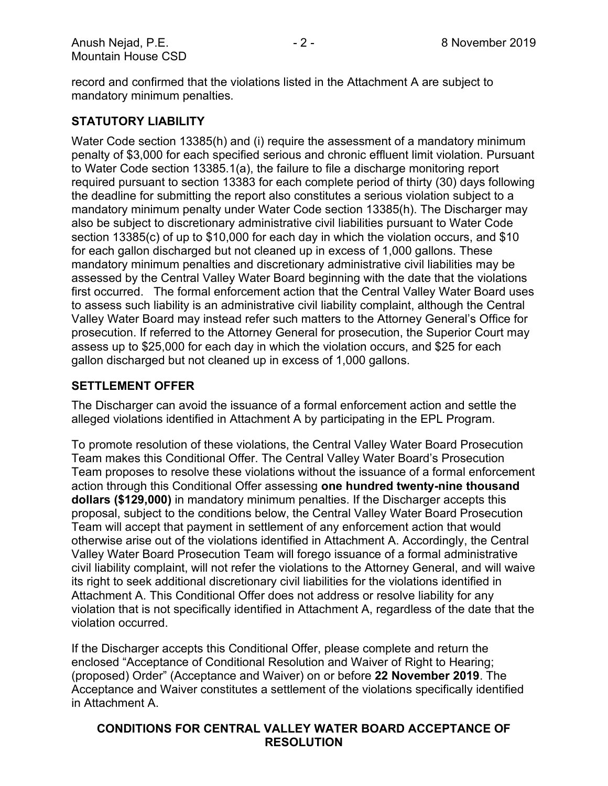record and confirmed that the violations listed in the Attachment A are subject to mandatory minimum penalties.

## **STATUTORY LIABILITY**

Water Code section 13385(h) and (i) require the assessment of a mandatory minimum penalty of \$3,000 for each specified serious and chronic effluent limit violation. Pursuant to Water Code section 13385.1(a), the failure to file a discharge monitoring report required pursuant to section 13383 for each complete period of thirty (30) days following the deadline for submitting the report also constitutes a serious violation subject to a mandatory minimum penalty under Water Code section 13385(h). The Discharger may also be subject to discretionary administrative civil liabilities pursuant to Water Code section 13385(c) of up to \$10,000 for each day in which the violation occurs, and \$10 for each gallon discharged but not cleaned up in excess of 1,000 gallons. These mandatory minimum penalties and discretionary administrative civil liabilities may be assessed by the Central Valley Water Board beginning with the date that the violations first occurred. The formal enforcement action that the Central Valley Water Board uses to assess such liability is an administrative civil liability complaint, although the Central Valley Water Board may instead refer such matters to the Attorney General's Office for prosecution. If referred to the Attorney General for prosecution, the Superior Court may assess up to \$25,000 for each day in which the violation occurs, and \$25 for each gallon discharged but not cleaned up in excess of 1,000 gallons.

#### **SETTLEMENT OFFER**

The Discharger can avoid the issuance of a formal enforcement action and settle the alleged violations identified in Attachment A by participating in the EPL Program.

To promote resolution of these violations, the Central Valley Water Board Prosecution Team makes this Conditional Offer. The Central Valley Water Board's Prosecution Team proposes to resolve these violations without the issuance of a formal enforcement action through this Conditional Offer assessing **one hundred twenty-nine thousand dollars (\$129,000)** in mandatory minimum penalties. If the Discharger accepts this proposal, subject to the conditions below, the Central Valley Water Board Prosecution Team will accept that payment in settlement of any enforcement action that would otherwise arise out of the violations identified in Attachment A. Accordingly, the Central Valley Water Board Prosecution Team will forego issuance of a formal administrative civil liability complaint, will not refer the violations to the Attorney General, and will waive its right to seek additional discretionary civil liabilities for the violations identified in Attachment A. This Conditional Offer does not address or resolve liability for any violation that is not specifically identified in Attachment A, regardless of the date that the violation occurred.

If the Discharger accepts this Conditional Offer, please complete and return the enclosed "Acceptance of Conditional Resolution and Waiver of Right to Hearing; (proposed) Order" (Acceptance and Waiver) on or before **22 November 2019**. The Acceptance and Waiver constitutes a settlement of the violations specifically identified in Attachment A.

### **CONDITIONS FOR CENTRAL VALLEY WATER BOARD ACCEPTANCE OF RESOLUTION**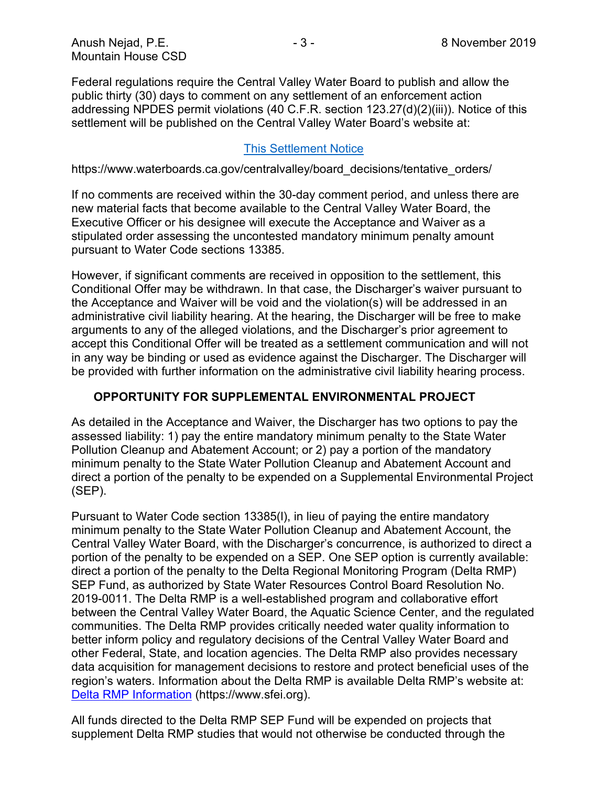Federal regulations require the Central Valley Water Board to publish and allow the public thirty (30) days to comment on any settlement of an enforcement action addressing NPDES permit violations (40 C.F.R. section 123.27(d)(2)(iii)). Notice of this settlement will be published on the Central Valley Water Board's website at:

### [This Settlement Notice](https://www.waterboards.ca.gov/centralvalley/board_decisions/tentative_orders/)

https://www.waterboards.ca.gov/centralvalley/board\_decisions/tentative\_orders/

If no comments are received within the 30-day comment period, and unless there are new material facts that become available to the Central Valley Water Board, the Executive Officer or his designee will execute the Acceptance and Waiver as a stipulated order assessing the uncontested mandatory minimum penalty amount pursuant to Water Code sections 13385.

However, if significant comments are received in opposition to the settlement, this Conditional Offer may be withdrawn. In that case, the Discharger's waiver pursuant to the Acceptance and Waiver will be void and the violation(s) will be addressed in an administrative civil liability hearing. At the hearing, the Discharger will be free to make arguments to any of the alleged violations, and the Discharger's prior agreement to accept this Conditional Offer will be treated as a settlement communication and will not in any way be binding or used as evidence against the Discharger. The Discharger will be provided with further information on the administrative civil liability hearing process.

#### **OPPORTUNITY FOR SUPPLEMENTAL ENVIRONMENTAL PROJECT**

As detailed in the Acceptance and Waiver, the Discharger has two options to pay the assessed liability: 1) pay the entire mandatory minimum penalty to the State Water Pollution Cleanup and Abatement Account; or 2) pay a portion of the mandatory minimum penalty to the State Water Pollution Cleanup and Abatement Account and direct a portion of the penalty to be expended on a Supplemental Environmental Project (SEP).

Pursuant to Water Code section 13385(l), in lieu of paying the entire mandatory minimum penalty to the State Water Pollution Cleanup and Abatement Account, the Central Valley Water Board, with the Discharger's concurrence, is authorized to direct a portion of the penalty to be expended on a SEP. One SEP option is currently available: direct a portion of the penalty to the Delta Regional Monitoring Program (Delta RMP) SEP Fund, as authorized by State Water Resources Control Board Resolution No. 2019-0011. The Delta RMP is a well-established program and collaborative effort between the Central Valley Water Board, the Aquatic Science Center, and the regulated communities. The Delta RMP provides critically needed water quality information to better inform policy and regulatory decisions of the Central Valley Water Board and other Federal, State, and location agencies. The Delta RMP also provides necessary data acquisition for management decisions to restore and protect beneficial uses of the region's waters. Information about the Delta RMP is available Delta RMP's website at: [Delta RMP Information](C:\Users\twestphal\AppData\Local\Microsoft\Windows\INetCache\Content.Outlook\MAAOF8F3\Delta RMP Information) (https://www.sfei.org).

All funds directed to the Delta RMP SEP Fund will be expended on projects that supplement Delta RMP studies that would not otherwise be conducted through the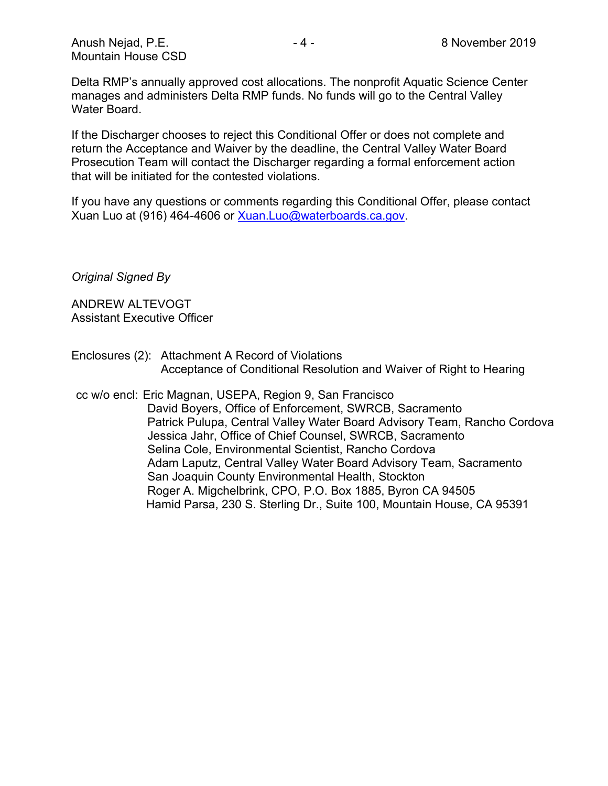Delta RMP's annually approved cost allocations. The nonprofit Aquatic Science Center manages and administers Delta RMP funds. No funds will go to the Central Valley Water Board.

If the Discharger chooses to reject this Conditional Offer or does not complete and return the Acceptance and Waiver by the deadline, the Central Valley Water Board Prosecution Team will contact the Discharger regarding a formal enforcement action that will be initiated for the contested violations.

If you have any questions or comments regarding this Conditional Offer, please contact Xuan Luo at (916) 464-4606 or [Xuan.Luo@waterboards.ca.gov.](mailto:Xuan.Luo@waterboards.ca.gov)

*Original Signed By*

ANDREW ALTEVOGT Assistant Executive Officer

Enclosures (2): Attachment A Record of Violations Acceptance of Conditional Resolution and Waiver of Right to Hearing

cc w/o encl: Eric Magnan, USEPA, Region 9, San Francisco David Boyers, Office of Enforcement, SWRCB, Sacramento Patrick Pulupa, Central Valley Water Board Advisory Team, Rancho Cordova Jessica Jahr, Office of Chief Counsel, SWRCB, Sacramento Selina Cole, Environmental Scientist, Rancho Cordova Adam Laputz, Central Valley Water Board Advisory Team, Sacramento San Joaquin County Environmental Health, Stockton Roger A. Migchelbrink, CPO, P.O. Box 1885, Byron CA 94505 Hamid Parsa, 230 S. Sterling Dr., Suite 100, Mountain House, CA 95391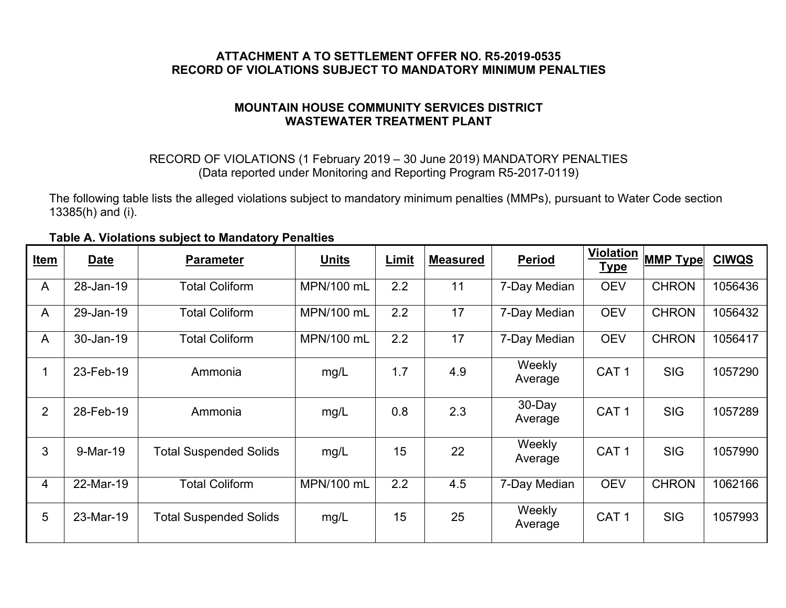### **ATTACHMENT A TO SETTLEMENT OFFER NO. R5-2019-0535 RECORD OF VIOLATIONS SUBJECT TO MANDATORY MINIMUM PENALTIES**

### **MOUNTAIN HOUSE COMMUNITY SERVICES DISTRICT WASTEWATER TREATMENT PLANT**

### RECORD OF VIOLATIONS (1 February 2019 – 30 June 2019) MANDATORY PENALTIES (Data reported under Monitoring and Reporting Program R5-2017-0119)

The following table lists the alleged violations subject to mandatory minimum penalties (MMPs), pursuant to Water Code section 13385(h) and (i).

| Item           | <b>Date</b> | <b>Parameter</b>              | <b>Units</b> | Limit | <b>Measured</b> | <b>Period</b>     | <b>Violation</b><br><b>Type</b> | <b>MMP Type</b> | <b>CIWQS</b> |
|----------------|-------------|-------------------------------|--------------|-------|-----------------|-------------------|---------------------------------|-----------------|--------------|
| A              | 28-Jan-19   | <b>Total Coliform</b>         | MPN/100 mL   | 2.2   | 11              | 7-Day Median      | <b>OEV</b>                      | <b>CHRON</b>    | 1056436      |
| A              | 29-Jan-19   | <b>Total Coliform</b>         | MPN/100 mL   | 2.2   | 17              | 7-Day Median      | <b>OEV</b>                      | <b>CHRON</b>    | 1056432      |
| $\overline{A}$ | 30-Jan-19   | <b>Total Coliform</b>         | MPN/100 mL   | 2.2   | 17              | 7-Day Median      | <b>OEV</b>                      | <b>CHRON</b>    | 1056417      |
| $\mathbf{1}$   | 23-Feb-19   | Ammonia                       | mg/L         | 1.7   | 4.9             | Weekly<br>Average | CAT <sub>1</sub>                | <b>SIG</b>      | 1057290      |
| $\overline{2}$ | 28-Feb-19   | Ammonia                       | mg/L         | 0.8   | 2.3             | 30-Day<br>Average | CAT <sub>1</sub>                | <b>SIG</b>      | 1057289      |
| 3              | 9-Mar-19    | <b>Total Suspended Solids</b> | mg/L         | 15    | 22              | Weekly<br>Average | CAT <sub>1</sub>                | <b>SIG</b>      | 1057990      |
| 4              | 22-Mar-19   | <b>Total Coliform</b>         | MPN/100 mL   | 2.2   | 4.5             | 7-Day Median      | <b>OEV</b>                      | <b>CHRON</b>    | 1062166      |
| 5              | 23-Mar-19   | <b>Total Suspended Solids</b> | mg/L         | 15    | 25              | Weekly<br>Average | CAT <sub>1</sub>                | <b>SIG</b>      | 1057993      |

#### **Table A. Violations subject to Mandatory Penalties**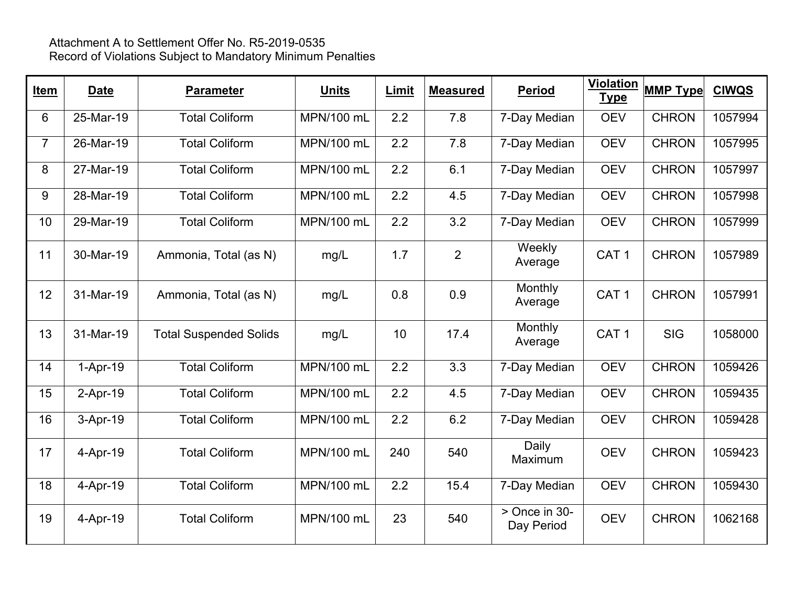| <b>Item</b>    | <b>Date</b> | <b>Parameter</b>              | <b>Units</b> | Limit            | <b>Measured</b> | <b>Period</b>               | <b>Violation</b><br><b>Type</b> | <b>MMP Type</b> | <b>CIWQS</b> |
|----------------|-------------|-------------------------------|--------------|------------------|-----------------|-----------------------------|---------------------------------|-----------------|--------------|
| 6              | 25-Mar-19   | <b>Total Coliform</b>         | MPN/100 mL   | 2.2              | 7.8             | 7-Day Median                | <b>OEV</b>                      | <b>CHRON</b>    | 1057994      |
| $\overline{7}$ | 26-Mar-19   | <b>Total Coliform</b>         | MPN/100 mL   | $\overline{2.2}$ | 7.8             | 7-Day Median                | <b>OEV</b>                      | <b>CHRON</b>    | 1057995      |
| 8              | 27-Mar-19   | <b>Total Coliform</b>         | MPN/100 mL   | 2.2              | 6.1             | 7-Day Median                | <b>OEV</b>                      | <b>CHRON</b>    | 1057997      |
| 9              | 28-Mar-19   | <b>Total Coliform</b>         | MPN/100 mL   | 2.2              | 4.5             | 7-Day Median                | <b>OEV</b>                      | <b>CHRON</b>    | 1057998      |
| 10             | 29-Mar-19   | <b>Total Coliform</b>         | MPN/100 mL   | 2.2              | 3.2             | 7-Day Median                | <b>OEV</b>                      | <b>CHRON</b>    | 1057999      |
| 11             | 30-Mar-19   | Ammonia, Total (as N)         | mg/L         | 1.7              | $\overline{2}$  | Weekly<br>Average           | CAT <sub>1</sub>                | <b>CHRON</b>    | 1057989      |
| 12             | 31-Mar-19   | Ammonia, Total (as N)         | mg/L         | 0.8              | 0.9             | Monthly<br>Average          | CAT <sub>1</sub>                | <b>CHRON</b>    | 1057991      |
| 13             | 31-Mar-19   | <b>Total Suspended Solids</b> | mg/L         | 10               | 17.4            | Monthly<br>Average          | CAT <sub>1</sub>                | <b>SIG</b>      | 1058000      |
| 14             | $1-Apr-19$  | <b>Total Coliform</b>         | MPN/100 mL   | 2.2              | 3.3             | 7-Day Median                | <b>OEV</b>                      | <b>CHRON</b>    | 1059426      |
| 15             | $2-Apr-19$  | <b>Total Coliform</b>         | MPN/100 mL   | 2.2              | 4.5             | 7-Day Median                | <b>OEV</b>                      | <b>CHRON</b>    | 1059435      |
| 16             | 3-Apr-19    | <b>Total Coliform</b>         | MPN/100 mL   | 2.2              | 6.2             | 7-Day Median                | <b>OEV</b>                      | <b>CHRON</b>    | 1059428      |
| 17             | 4-Apr-19    | <b>Total Coliform</b>         | MPN/100 mL   | 240              | 540             | Daily<br>Maximum            | <b>OEV</b>                      | <b>CHRON</b>    | 1059423      |
| 18             | 4-Apr-19    | <b>Total Coliform</b>         | MPN/100 mL   | 2.2              | 15.4            | 7-Day Median                | <b>OEV</b>                      | <b>CHRON</b>    | 1059430      |
| 19             | 4-Apr-19    | <b>Total Coliform</b>         | MPN/100 mL   | 23               | 540             | > Once in 30-<br>Day Period | <b>OEV</b>                      | <b>CHRON</b>    | 1062168      |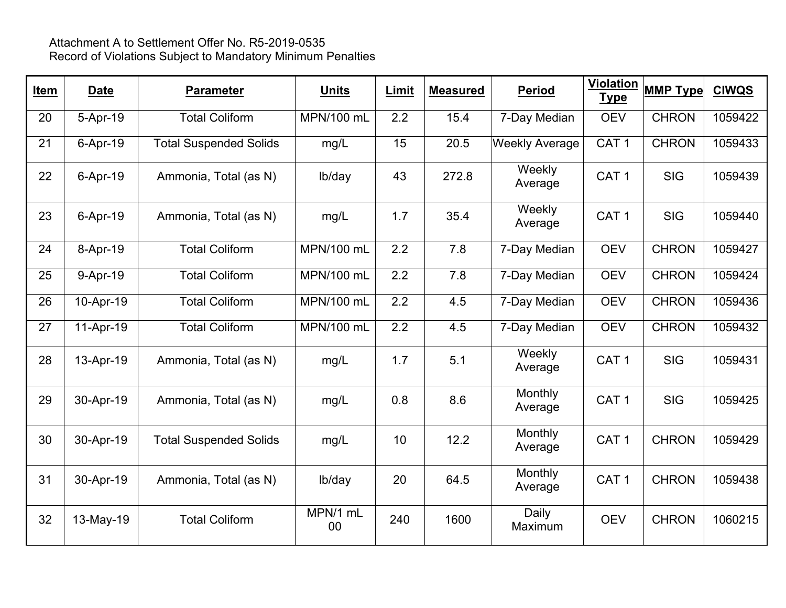| <b>Item</b> | <b>Date</b> | <b>Parameter</b>              | <b>Units</b>      | Limit | <b>Measured</b> | <b>Period</b>         | <b>Violation</b><br><b>Type</b> | <b>MMP Type</b> | <b>CIWQS</b> |
|-------------|-------------|-------------------------------|-------------------|-------|-----------------|-----------------------|---------------------------------|-----------------|--------------|
| 20          | 5-Apr-19    | <b>Total Coliform</b>         | MPN/100 mL        | 2.2   | 15.4            | 7-Day Median          | <b>OEV</b>                      | <b>CHRON</b>    | 1059422      |
| 21          | 6-Apr-19    | <b>Total Suspended Solids</b> | mg/L              | 15    | 20.5            | <b>Weekly Average</b> | CAT <sub>1</sub>                | <b>CHRON</b>    | 1059433      |
| 22          | 6-Apr-19    | Ammonia, Total (as N)         | lb/day            | 43    | 272.8           | Weekly<br>Average     | CAT <sub>1</sub>                | <b>SIG</b>      | 1059439      |
| 23          | 6-Apr-19    | Ammonia, Total (as N)         | mg/L              | 1.7   | 35.4            | Weekly<br>Average     | CAT <sub>1</sub>                | <b>SIG</b>      | 1059440      |
| 24          | 8-Apr-19    | <b>Total Coliform</b>         | <b>MPN/100 mL</b> | 2.2   | 7.8             | 7-Day Median          | <b>OEV</b>                      | <b>CHRON</b>    | 1059427      |
| 25          | 9-Apr-19    | <b>Total Coliform</b>         | <b>MPN/100 mL</b> | 2.2   | 7.8             | 7-Day Median          | <b>OEV</b>                      | <b>CHRON</b>    | 1059424      |
| 26          | 10-Apr-19   | <b>Total Coliform</b>         | MPN/100 mL        | 2.2   | 4.5             | 7-Day Median          | <b>OEV</b>                      | <b>CHRON</b>    | 1059436      |
| 27          | 11-Apr-19   | <b>Total Coliform</b>         | MPN/100 mL        | 2.2   | 4.5             | 7-Day Median          | <b>OEV</b>                      | <b>CHRON</b>    | 1059432      |
| 28          | 13-Apr-19   | Ammonia, Total (as N)         | mg/L              | 1.7   | 5.1             | Weekly<br>Average     | CAT <sub>1</sub>                | <b>SIG</b>      | 1059431      |
| 29          | 30-Apr-19   | Ammonia, Total (as N)         | mg/L              | 0.8   | 8.6             | Monthly<br>Average    | CAT <sub>1</sub>                | <b>SIG</b>      | 1059425      |
| 30          | 30-Apr-19   | <b>Total Suspended Solids</b> | mg/L              | 10    | 12.2            | Monthly<br>Average    | CAT <sub>1</sub>                | <b>CHRON</b>    | 1059429      |
| 31          | 30-Apr-19   | Ammonia, Total (as N)         | lb/day            | 20    | 64.5            | Monthly<br>Average    | CAT <sub>1</sub>                | <b>CHRON</b>    | 1059438      |
| 32          | 13-May-19   | <b>Total Coliform</b>         | MPN/1 mL<br>00    | 240   | 1600            | Daily<br>Maximum      | <b>OEV</b>                      | <b>CHRON</b>    | 1060215      |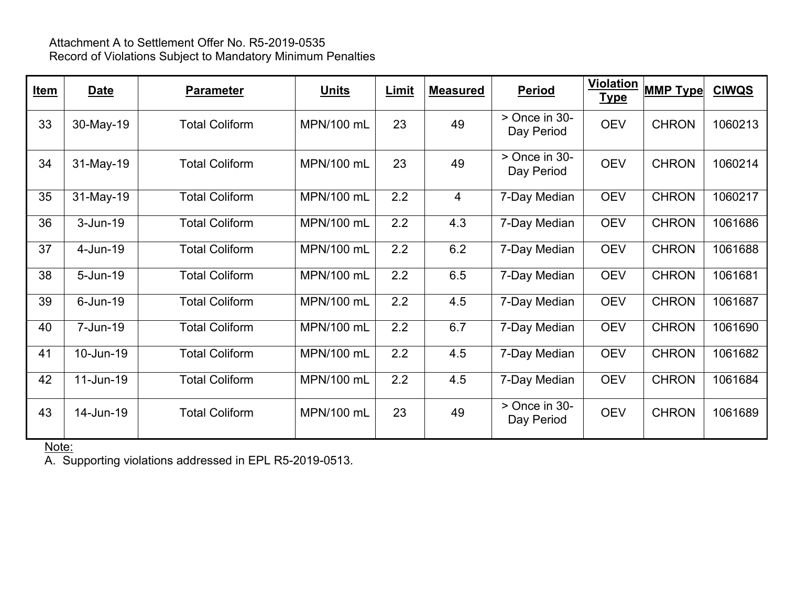| Item | Date         | <b>Parameter</b>      | <u>Units</u> | <b>Limit</b> | <b>Measured</b> | <b>Period</b>                 | Violation<br><b>Type</b> | <b>MMP Type</b> | <b>CIWQS</b> |
|------|--------------|-----------------------|--------------|--------------|-----------------|-------------------------------|--------------------------|-----------------|--------------|
| 33   | 30-May-19    | <b>Total Coliform</b> | MPN/100 mL   | 23           | 49              | $>$ Once in 30-<br>Day Period | <b>OEV</b>               | <b>CHRON</b>    | 1060213      |
| 34   | 31-May-19    | <b>Total Coliform</b> | MPN/100 mL   | 23           | 49              | $>$ Once in 30-<br>Day Period | <b>OEV</b>               | <b>CHRON</b>    | 1060214      |
| 35   | 31-May-19    | <b>Total Coliform</b> | MPN/100 mL   | 2.2          | $\overline{4}$  | 7-Day Median                  | <b>OEV</b>               | <b>CHRON</b>    | 1060217      |
| 36   | $3 - Jun-19$ | <b>Total Coliform</b> | MPN/100 mL   | 2.2          | 4.3             | 7-Day Median                  | <b>OEV</b>               | <b>CHRON</b>    | 1061686      |
| 37   | 4-Jun-19     | <b>Total Coliform</b> | MPN/100 mL   | 2.2          | 6.2             | 7-Day Median                  | <b>OEV</b>               | <b>CHRON</b>    | 1061688      |
| 38   | 5-Jun-19     | <b>Total Coliform</b> | MPN/100 mL   | 2.2          | 6.5             | 7-Day Median                  | <b>OEV</b>               | <b>CHRON</b>    | 1061681      |
| 39   | $6$ -Jun-19  | <b>Total Coliform</b> | MPN/100 mL   | 2.2          | 4.5             | 7-Day Median                  | <b>OEV</b>               | <b>CHRON</b>    | 1061687      |
| 40   | 7-Jun-19     | <b>Total Coliform</b> | MPN/100 mL   | 2.2          | 6.7             | 7-Day Median                  | <b>OEV</b>               | <b>CHRON</b>    | 1061690      |
| 41   | 10-Jun-19    | <b>Total Coliform</b> | MPN/100 mL   | 2.2          | 4.5             | 7-Day Median                  | <b>OEV</b>               | <b>CHRON</b>    | 1061682      |
| 42   | 11-Jun-19    | <b>Total Coliform</b> | MPN/100 mL   | 2.2          | 4.5             | 7-Day Median                  | <b>OEV</b>               | <b>CHRON</b>    | 1061684      |
| 43   | 14-Jun-19    | <b>Total Coliform</b> | MPN/100 mL   | 23           | 49              | $>$ Once in 30-<br>Day Period | <b>OEV</b>               | <b>CHRON</b>    | 1061689      |

<u>Note:</u>

A. Supporting violations addressed in EPL R5-2019-0513.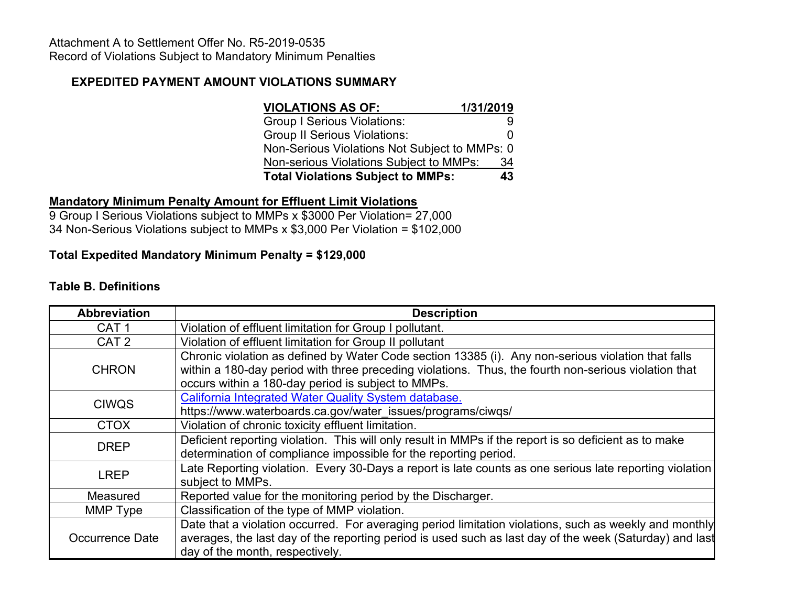# **EXPEDITED PAYMENT AMOUNT VIOLATIONS SUMMARY**

| <b>VIOLATIONS AS OF:</b>                      | 1/31/2019    |  |  |
|-----------------------------------------------|--------------|--|--|
| <b>Group I Serious Violations:</b>            | 9            |  |  |
| <b>Group II Serious Violations:</b>           | $\mathbf{I}$ |  |  |
| Non-Serious Violations Not Subject to MMPs: 0 |              |  |  |
| Non-serious Violations Subject to MMPs:       | 34           |  |  |
| <b>Total Violations Subject to MMPs:</b>      | 43           |  |  |

## **Mandatory Minimum Penalty Amount for Effluent Limit Violations**

9 Group I Serious Violations subject to MMPs x \$3000 Per Violation= 27,000 34 Non-Serious Violations subject to MMPs x \$3,000 Per Violation = \$102,000

# **Total Expedited Mandatory Minimum Penalty = \$129,000**

## **Table B. Definitions**

| <b>Abbreviation</b>                                                                                                                                                                                                                                                              | <b>Description</b>                                                                                                                                                                                                                                   |  |  |  |  |  |
|----------------------------------------------------------------------------------------------------------------------------------------------------------------------------------------------------------------------------------------------------------------------------------|------------------------------------------------------------------------------------------------------------------------------------------------------------------------------------------------------------------------------------------------------|--|--|--|--|--|
| CAT <sub>1</sub>                                                                                                                                                                                                                                                                 | Violation of effluent limitation for Group I pollutant.                                                                                                                                                                                              |  |  |  |  |  |
| CAT <sub>2</sub>                                                                                                                                                                                                                                                                 | Violation of effluent limitation for Group II pollutant                                                                                                                                                                                              |  |  |  |  |  |
| Chronic violation as defined by Water Code section 13385 (i). Any non-serious violation that falls<br>within a 180-day period with three preceding violations. Thus, the fourth non-serious violation that<br><b>CHRON</b><br>occurs within a 180-day period is subject to MMPs. |                                                                                                                                                                                                                                                      |  |  |  |  |  |
| California Integrated Water Quality System database.<br><b>CIWQS</b><br>https://www.waterboards.ca.gov/water_issues/programs/ciwqs/                                                                                                                                              |                                                                                                                                                                                                                                                      |  |  |  |  |  |
| <b>CTOX</b>                                                                                                                                                                                                                                                                      | Violation of chronic toxicity effluent limitation.                                                                                                                                                                                                   |  |  |  |  |  |
| <b>DREP</b>                                                                                                                                                                                                                                                                      | Deficient reporting violation. This will only result in MMPs if the report is so deficient as to make<br>determination of compliance impossible for the reporting period.                                                                            |  |  |  |  |  |
| Late Reporting violation. Every 30-Days a report is late counts as one serious late reporting violation<br><b>LREP</b><br>subject to MMPs.                                                                                                                                       |                                                                                                                                                                                                                                                      |  |  |  |  |  |
| Reported value for the monitoring period by the Discharger.<br>Measured                                                                                                                                                                                                          |                                                                                                                                                                                                                                                      |  |  |  |  |  |
| MMP Type                                                                                                                                                                                                                                                                         | Classification of the type of MMP violation.                                                                                                                                                                                                         |  |  |  |  |  |
| Occurrence Date                                                                                                                                                                                                                                                                  | Date that a violation occurred. For averaging period limitation violations, such as weekly and monthly<br>averages, the last day of the reporting period is used such as last day of the week (Saturday) and last<br>day of the month, respectively. |  |  |  |  |  |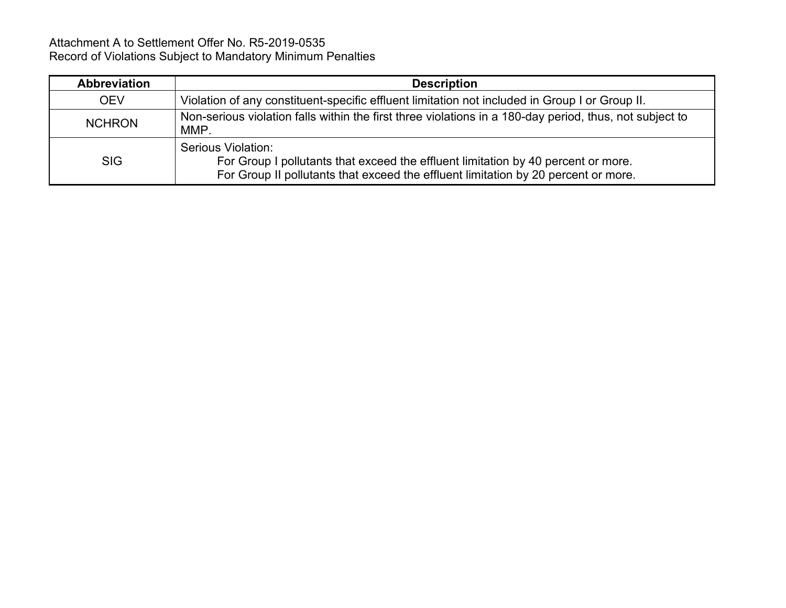| Abbreviation  | <b>Description</b>                                                                                                                                                                            |
|---------------|-----------------------------------------------------------------------------------------------------------------------------------------------------------------------------------------------|
| <b>OEV</b>    | Violation of any constituent-specific effluent limitation not included in Group I or Group II.                                                                                                |
| <b>NCHRON</b> | Non-serious violation falls within the first three violations in a 180-day period, thus, not subject to<br>MMP.                                                                               |
| <b>SIG</b>    | Serious Violation:<br>For Group I pollutants that exceed the effluent limitation by 40 percent or more.<br>For Group II pollutants that exceed the effluent limitation by 20 percent or more. |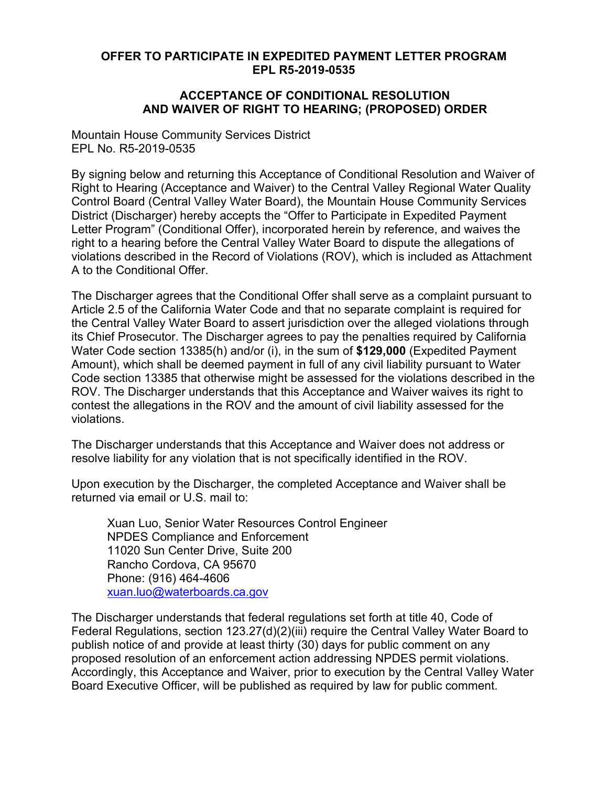### **OFFER TO PARTICIPATE IN EXPEDITED PAYMENT LETTER PROGRAM EPL R5-2019-0535**

#### **ACCEPTANCE OF CONDITIONAL RESOLUTION AND WAIVER OF RIGHT TO HEARING; (PROPOSED) ORDER**

Mountain House Community Services District EPL No. R5-2019-0535

By signing below and returning this Acceptance of Conditional Resolution and Waiver of Right to Hearing (Acceptance and Waiver) to the Central Valley Regional Water Quality Control Board (Central Valley Water Board), the Mountain House Community Services District (Discharger) hereby accepts the "Offer to Participate in Expedited Payment Letter Program" (Conditional Offer), incorporated herein by reference, and waives the right to a hearing before the Central Valley Water Board to dispute the allegations of violations described in the Record of Violations (ROV), which is included as Attachment A to the Conditional Offer.

The Discharger agrees that the Conditional Offer shall serve as a complaint pursuant to Article 2.5 of the California Water Code and that no separate complaint is required for the Central Valley Water Board to assert jurisdiction over the alleged violations through its Chief Prosecutor. The Discharger agrees to pay the penalties required by California Water Code section 13385(h) and/or (i), in the sum of **\$129,000** (Expedited Payment Amount), which shall be deemed payment in full of any civil liability pursuant to Water Code section 13385 that otherwise might be assessed for the violations described in the ROV. The Discharger understands that this Acceptance and Waiver waives its right to contest the allegations in the ROV and the amount of civil liability assessed for the violations.

The Discharger understands that this Acceptance and Waiver does not address or resolve liability for any violation that is not specifically identified in the ROV.

Upon execution by the Discharger, the completed Acceptance and Waiver shall be returned via email or U.S. mail to:

Xuan Luo, Senior Water Resources Control Engineer NPDES Compliance and Enforcement 11020 Sun Center Drive, Suite 200 Rancho Cordova, CA 95670 Phone: (916) 464-4606 [xuan.luo@waterboards.ca.gov](mailto:xuan.luo@waterboards.ca.gov)

The Discharger understands that federal regulations set forth at title 40, Code of Federal Regulations, section 123.27(d)(2)(iii) require the Central Valley Water Board to publish notice of and provide at least thirty (30) days for public comment on any proposed resolution of an enforcement action addressing NPDES permit violations. Accordingly, this Acceptance and Waiver, prior to execution by the Central Valley Water Board Executive Officer, will be published as required by law for public comment.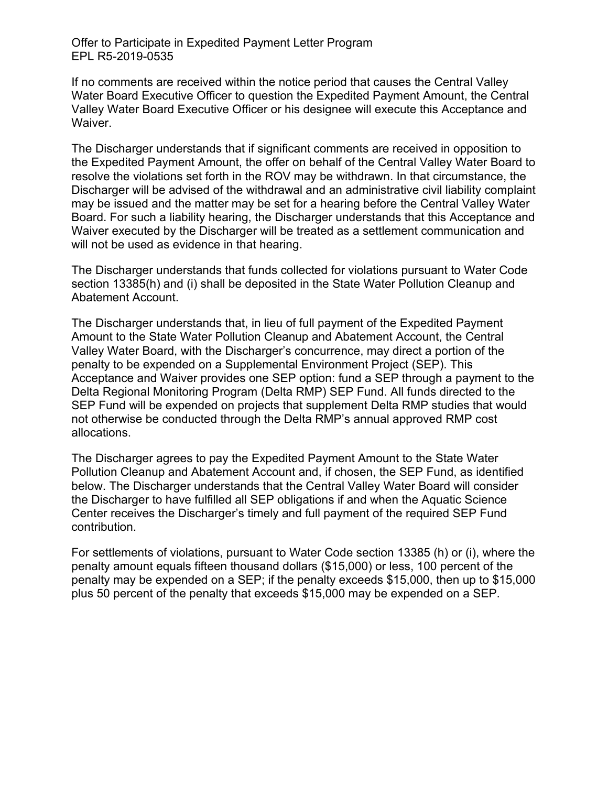Offer to Participate in Expedited Payment Letter Program EPL R5-2019-0535

If no comments are received within the notice period that causes the Central Valley Water Board Executive Officer to question the Expedited Payment Amount, the Central Valley Water Board Executive Officer or his designee will execute this Acceptance and Waiver.

The Discharger understands that if significant comments are received in opposition to the Expedited Payment Amount, the offer on behalf of the Central Valley Water Board to resolve the violations set forth in the ROV may be withdrawn. In that circumstance, the Discharger will be advised of the withdrawal and an administrative civil liability complaint may be issued and the matter may be set for a hearing before the Central Valley Water Board. For such a liability hearing, the Discharger understands that this Acceptance and Waiver executed by the Discharger will be treated as a settlement communication and will not be used as evidence in that hearing.

The Discharger understands that funds collected for violations pursuant to Water Code section 13385(h) and (i) shall be deposited in the State Water Pollution Cleanup and Abatement Account.

The Discharger understands that, in lieu of full payment of the Expedited Payment Amount to the State Water Pollution Cleanup and Abatement Account, the Central Valley Water Board, with the Discharger's concurrence, may direct a portion of the penalty to be expended on a Supplemental Environment Project (SEP). This Acceptance and Waiver provides one SEP option: fund a SEP through a payment to the Delta Regional Monitoring Program (Delta RMP) SEP Fund. All funds directed to the SEP Fund will be expended on projects that supplement Delta RMP studies that would not otherwise be conducted through the Delta RMP's annual approved RMP cost allocations.

The Discharger agrees to pay the Expedited Payment Amount to the State Water Pollution Cleanup and Abatement Account and, if chosen, the SEP Fund, as identified below. The Discharger understands that the Central Valley Water Board will consider the Discharger to have fulfilled all SEP obligations if and when the Aquatic Science Center receives the Discharger's timely and full payment of the required SEP Fund contribution.

For settlements of violations, pursuant to Water Code section 13385 (h) or (i), where the penalty amount equals fifteen thousand dollars (\$15,000) or less, 100 percent of the penalty may be expended on a SEP; if the penalty exceeds \$15,000, then up to \$15,000 plus 50 percent of the penalty that exceeds \$15,000 may be expended on a SEP.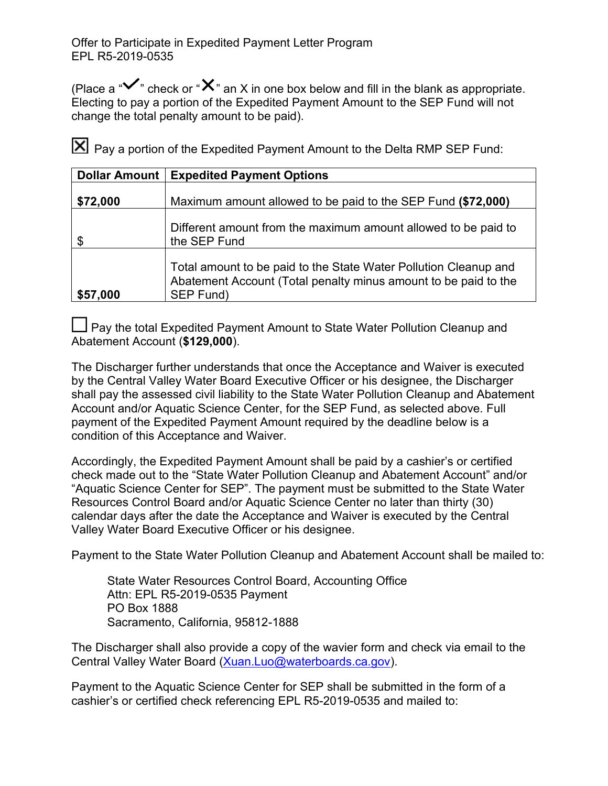(Place a " $\checkmark$ " check or " $\checkmark$ " an X in one box below and fill in the blank as appropriate. Electing to pay a portion of the Expedited Payment Amount to the SEP Fund will not change the total penalty amount to be paid).

Pay a portion of the Expedited Payment Amount to the Delta RMP SEP Fund:

| Dollar Amount | <b>Expedited Payment Options</b>                                                                                                                 |
|---------------|--------------------------------------------------------------------------------------------------------------------------------------------------|
| \$72,000      | Maximum amount allowed to be paid to the SEP Fund (\$72,000)                                                                                     |
| \$            | Different amount from the maximum amount allowed to be paid to<br>the SEP Fund                                                                   |
| \$57,000      | Total amount to be paid to the State Water Pollution Cleanup and<br>Abatement Account (Total penalty minus amount to be paid to the<br>SEP Fund) |

 $\Box$  Pay the total Expedited Payment Amount to State Water Pollution Cleanup and Abatement Account (**\$129,000**).

The Discharger further understands that once the Acceptance and Waiver is executed by the Central Valley Water Board Executive Officer or his designee, the Discharger shall pay the assessed civil liability to the State Water Pollution Cleanup and Abatement Account and/or Aquatic Science Center, for the SEP Fund, as selected above. Full payment of the Expedited Payment Amount required by the deadline below is a condition of this Acceptance and Waiver.

Accordingly, the Expedited Payment Amount shall be paid by a cashier's or certified check made out to the "State Water Pollution Cleanup and Abatement Account" and/or "Aquatic Science Center for SEP". The payment must be submitted to the State Water Resources Control Board and/or Aquatic Science Center no later than thirty (30) calendar days after the date the Acceptance and Waiver is executed by the Central Valley Water Board Executive Officer or his designee.

Payment to the State Water Pollution Cleanup and Abatement Account shall be mailed to:

State Water Resources Control Board, Accounting Office Attn: EPL R5-2019-0535 Payment PO Box 1888 Sacramento, California, 95812-1888

The Discharger shall also provide a copy of the wavier form and check via email to the Central Valley Water Board ([Xuan.Luo@waterboards.ca.gov](mailto:Xuan.Luo@waterboards.ca.gov)).

Payment to the Aquatic Science Center for SEP shall be submitted in the form of a cashier's or certified check referencing EPL R5-2019-0535 and mailed to: